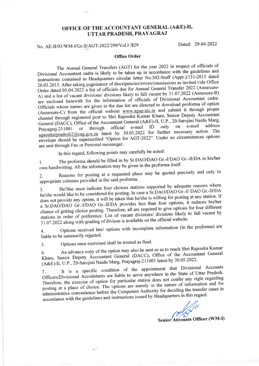## OFFICE OF THE ACCOUNTANT GENERAL (A&E)-II, UTTAR PRADESH, PRAYAGRAJ

## No. AE-II/03/WM-I/Gr.II/AGT-2022/299/Vol.I /829

Dated: 29-04-2022

## Office Order

The Annual General Transfers (AGT) for the year 2022 in respect of officials of Divisional Accountant cadre is likely to be taken up in accordance with the guidelines and instructions contained in Headquarters circular letter No.502-Staff (Appt.)/131-2015 dated 20.03.2015. After taking cognizance of discripencies/errors/ommissions as invited vide Office Order dated 05.04.2022 a list of officials due for Annual General Transfer 2022 (Annexure-A) and a list of vacant divisions/ divisions likely to fall vacant by 31.07.2022 (Annexure-B) are enclosed herewith for the information of officials of Divisional Accountant cadre. Officials whose names are given in the due list are directed to download proforma of option (Annexure-C) from the official website www.agup.nic.in and submit it through proper channel through registered post to Shri Rajendra Kumar Khare, Senior Deputy Accountant General (DACC), Office of the Accountant General (A&E)-II, U.P., 20-Sarojini Naidu Marg,<br>Prayagraj-211001 or through official e-mail ID only on e-mail address General (DACC), Office of the Accountant General (Access 1, 511, 2016)<br>Prayagraj-211001 or through official e-mail ID only on e-mail address  $\frac{2 \text{ (2) c}}{2 \text{ (2) c}}$  and latest by 30.05.2022 for further necessary action. The envelope should be superscribed "Option for AGT-2022". Under no circumstances options are sent through Fax or Personal messanger.

In this regard, following poins may carefully be noted:

1. The proforma should be filled in by Sr.DAO/DAO Gr.-I/DAO Gr.-II/DA in his/her own handwriting. All the information may be given in the proforma itself.

2. Reasons for posting at a requested place may be quoted precisely and only in appropriate columns provided in the said proforma'

3. He/She must indicate four choices stations supported by adequate reasons where he/she would like to be considered for posting. In case a Sr.DAO/DAO Gr.-I/DAO Gr.-II/DA<br>he/she would like to be considered for posting. In case a Sr.DAO/DAO Gr.-I/DAO Gr.-II/DA he/she would like to be considered for posting. In case a SLDAO/DAO SP. F BLC Station. If<br>does not provide any option, it will be taken that he/she is willing for posting at any station. If does not provide any option, it will be diken that here is than four options, it reduces his/hered.<br>Less than four options, it reduces his/hered. chance of getting choice posting. Therefore, all are required to give options for four different stations in order of preference. List of vacant divisions/ divisions likely to fall vacant by  $\frac{1}{31.07.2022}$  along with grading of divison is available on the official website.

4. Options received late/ options with incomplete information (in the proforma) are liable to be summarily rejected.

Options once exercised shall be treated as final 5

6. An advance copy of the option may also be seen.<br>Khare, Senior Deputy Accountant General (DACC), Office of the Accountant General An advance copy of the option may also be sent so as to reach Shri Rajendra Kumar (A&E)-ll, U.P., 20-Sarojini Naidu Marg, Prayagraj-21 l00l latest by 30.05.2022.

7. It is a specific condition of the state of Uttar Pradesh<br>Officers/Divisional Accountants are liable to serve anywhere in the State of Uttar Pradesh It is a specific condition of the appointment that Divisional Accounts Therefore, the exercise of option for particular station does not confer any right regarding posting at a place of choice. The options are merely in the nature of information and for administrative convenience before the Competent Authority for deciding the transfer cases in administrative convenience ecreations and instructions issued by Headquarters in this regard.

Senior Accounts Officer (WM-I)